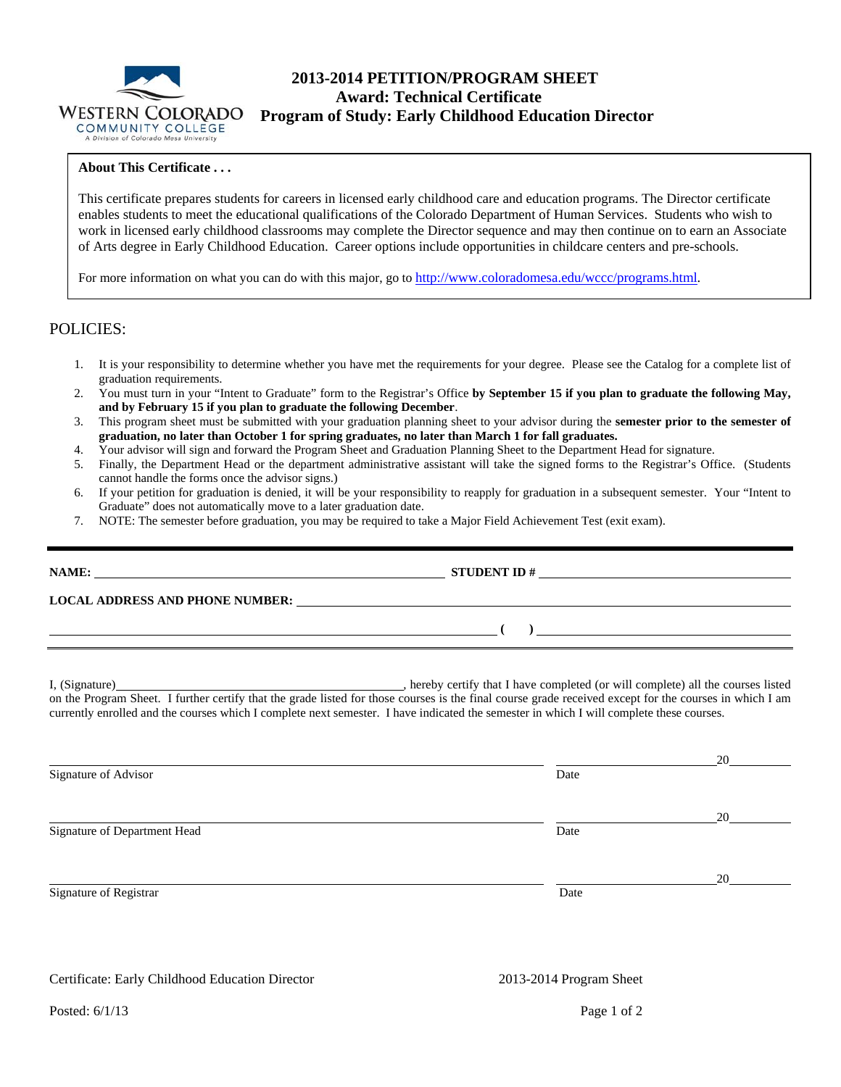

# **2013-2014 PETITION/PROGRAM SHEET Award: Technical Certificate WESTERN COLORADO** Program of Study: Early Childhood Education Director COMMUNITY COLLEGE

### **About This Certificate . . .**

This certificate prepares students for careers in licensed early childhood care and education programs. The Director certificate enables students to meet the educational qualifications of the Colorado Department of Human Services. Students who wish to work in licensed early childhood classrooms may complete the Director sequence and may then continue on to earn an Associate of Arts degree in Early Childhood Education. Career options include opportunities in childcare centers and pre-schools.

For more information on what you can do with this major, go to http://www.coloradomesa.edu/wccc/programs.html.

## POLICIES:

- 1. It is your responsibility to determine whether you have met the requirements for your degree. Please see the Catalog for a complete list of graduation requirements.
- 2. You must turn in your "Intent to Graduate" form to the Registrar's Office **by September 15 if you plan to graduate the following May, and by February 15 if you plan to graduate the following December**.
- 3. This program sheet must be submitted with your graduation planning sheet to your advisor during the **semester prior to the semester of graduation, no later than October 1 for spring graduates, no later than March 1 for fall graduates.**
- 4. Your advisor will sign and forward the Program Sheet and Graduation Planning Sheet to the Department Head for signature.
- 5. Finally, the Department Head or the department administrative assistant will take the signed forms to the Registrar's Office. (Students cannot handle the forms once the advisor signs.)
- 6. If your petition for graduation is denied, it will be your responsibility to reapply for graduation in a subsequent semester. Your "Intent to Graduate" does not automatically move to a later graduation date.
- 7. NOTE: The semester before graduation, you may be required to take a Major Field Achievement Test (exit exam).

| NAME:<br><u> 1980 - Andrea Barbara, poeta esperanto-</u> |                                                                                                                                                                                                                                |  |
|----------------------------------------------------------|--------------------------------------------------------------------------------------------------------------------------------------------------------------------------------------------------------------------------------|--|
|                                                          | LOCAL ADDRESS AND PHONE NUMBER: Under the contract of the contract of the contract of the contract of the contract of the contract of the contract of the contract of the contract of the contract of the contract of the cont |  |
|                                                          |                                                                                                                                                                                                                                |  |
|                                                          |                                                                                                                                                                                                                                |  |

I, (Signature) , hereby certify that I have completed (or will complete) all the courses listed on the Program Sheet. I further certify that the grade listed for those courses is the final course grade received except for the courses in which I am currently enrolled and the courses which I complete next semester. I have indicated the semester in which I will complete these courses.

|                              |      | 20 |
|------------------------------|------|----|
| Signature of Advisor         | Date |    |
|                              |      | 20 |
| Signature of Department Head | Date |    |
|                              |      | 20 |
| Signature of Registrar       | Date |    |

Certificate: Early Childhood Education Director 2013-2014 Program Sheet